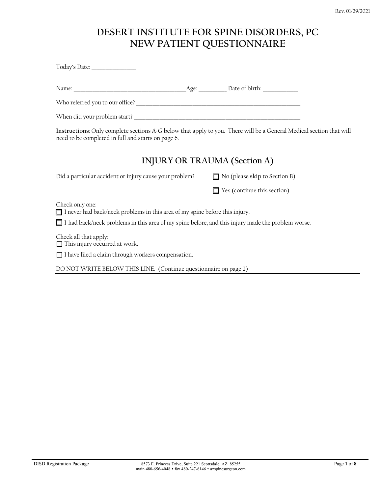# **DESERT INSTITUTE FOR SPINE DISORDERS, PC NEW PATIENT QUESTIONNAIRE**

| Today's Date: ________________                                                                                                                                            |                                      |
|---------------------------------------------------------------------------------------------------------------------------------------------------------------------------|--------------------------------------|
|                                                                                                                                                                           |                                      |
|                                                                                                                                                                           |                                      |
|                                                                                                                                                                           |                                      |
| Instructions: Only complete sections A-G below that apply to you. There will be a General Medical section that will<br>need to be completed in full and starts on page 6. |                                      |
| INJURY OR TRAUMA (Section A)                                                                                                                                              |                                      |
| Did a particular accident or injury cause your problem?                                                                                                                   | $\Box$ No (please skip to Section B) |
|                                                                                                                                                                           | $\Box$ Yes (continue this section)   |
| Check only one:<br>$\Box$ I never had back/neck problems in this area of my spine before this injury.                                                                     |                                      |
| I had back/neck problems in this area of my spine before, and this injury made the problem worse.                                                                         |                                      |
| Check all that apply:<br>$\Box$ This injury occurred at work.                                                                                                             |                                      |
| □ I have filed a claim through workers compensation.                                                                                                                      |                                      |
| DO NOT WRITE BELOW THIS LINE. (Continue questionnaire on page 2)                                                                                                          |                                      |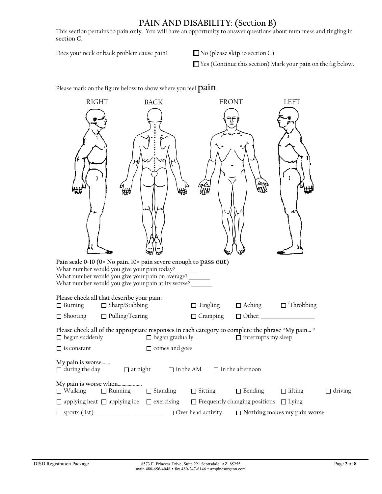## **PAIN AND DISABILITY: (Section B)**

This section pertains to **pain only**. You will have an opportunity to answer questions about numbness and tingling in **section C**.

Does your neck or back problem cause pain? No (please skip to section C)

Yes (Continue this section) Mark your **pain** on the fig below.

Please mark on the figure below to show where you feel **pain**.

| <b>RIGHT</b>                                                                                                                                                                                                                     | <b>BACK</b>            | <b>FRONT</b>    |                                                   | <b>LEFT</b>                                                 |                |
|----------------------------------------------------------------------------------------------------------------------------------------------------------------------------------------------------------------------------------|------------------------|-----------------|---------------------------------------------------|-------------------------------------------------------------|----------------|
|                                                                                                                                                                                                                                  |                        |                 |                                                   |                                                             |                |
| Pain scale 0-10 (0= No pain, 10= pain severe enough to pass out)<br>What number would you give your pain today?<br>What number would you give your pain on average?<br>What number would you give your pain at its worse? ______ |                        |                 |                                                   |                                                             |                |
| Please check all that describe your pain:<br>$\Box$ Sharp/Stabbing<br>$\Box$ Burning                                                                                                                                             |                        | $\Box$ Tingling |                                                   | $\Box$ Aching $\Box$ <sup><math>\Box</math></sup> Throbbing |                |
| $\Box$ Pulling/Tearing<br>$\Box$ Shooting                                                                                                                                                                                        |                        | $\Box$ Cramping |                                                   |                                                             |                |
| Please check all of the appropriate responses in each category to complete the phrase "My pain "<br>$\Box$ began suddenly                                                                                                        | $\Box$ began gradually |                 | $\Box$ interrupts my sleep                        |                                                             |                |
| $\Box$ is constant                                                                                                                                                                                                               | $\Box$ comes and goes  |                 |                                                   |                                                             |                |
| My pain is worse<br>$\Box$ during the day $\Box$ at night $\Box$ in the AM $\Box$ in the afternoon                                                                                                                               |                        |                 |                                                   |                                                             |                |
| My pain is worse when<br>$\Box$ Walking<br>$\Box$ Running                                                                                                                                                                        | □ Standing             | $\Box$ Sitting  | $\Box$ Bending                                    | $\Box$ lifting                                              | $\Box$ driving |
| $\Box$ applying heat $\Box$ applying ice $\Box$ exercising                                                                                                                                                                       |                        |                 | $\Box$ Frequently changing positions $\Box$ Lying |                                                             |                |
|                                                                                                                                                                                                                                  |                        |                 |                                                   | $\Box$ Nothing makes my pain worse                          |                |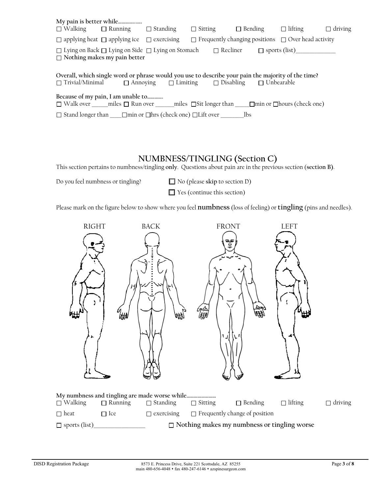| $\Box$ Walking $\Box$ Running $\Box$ Standing |                                                                                           |                                                    | $\Box$ Sitting $\Box$ Bending $\Box$ lifting                                                                                                                                                    |                                                                | $\Box$ driving |
|-----------------------------------------------|-------------------------------------------------------------------------------------------|----------------------------------------------------|-------------------------------------------------------------------------------------------------------------------------------------------------------------------------------------------------|----------------------------------------------------------------|----------------|
|                                               | $\Box$ applying heat $\Box$ applying ice $\Box$ exercising                                |                                                    |                                                                                                                                                                                                 | $\Box$ Frequently changing positions $\Box$ Over head activity |                |
| $\Box$ Nothing makes my pain better           |                                                                                           | □ Lying on Back □ Lying on Side □ Lying on Stomach |                                                                                                                                                                                                 | $\Box$ Recliner $\Box$ sports (list)                           |                |
|                                               |                                                                                           |                                                    | Overall, which single word or phrase would you use to describe your pain the majority of the time?<br>$\Box$ Trivial/Minimal $\Box$ Annoying $\Box$ Limiting $\Box$ Disabling $\Box$ Unbearable |                                                                |                |
| Because of my pain, I am unable to            |                                                                                           |                                                    | $\Box$ Walk over miles $\Box$ Run over miles $\Box$ Sit longer than $\Box$ min or $\Box$ hours (check one)                                                                                      |                                                                |                |
|                                               | $\Box$ Stand longer than $\Box$ min or $\Box$ hrs (check one) $\Box$ Lift over $\Box$ lbs |                                                    |                                                                                                                                                                                                 |                                                                |                |

#### **NUMBNESS/TINGLING (Section C)**

This section pertains to numbness/tingling **only**. Questions about pain are in the previous section (**section B)**.

Do you feel numbness or tingling? No (please **skip** to section D)

Yes (continue this section)

Please mark on the figure below to show where you feel **numbness** (loss of feeling) or **tingling** (pins and needles).

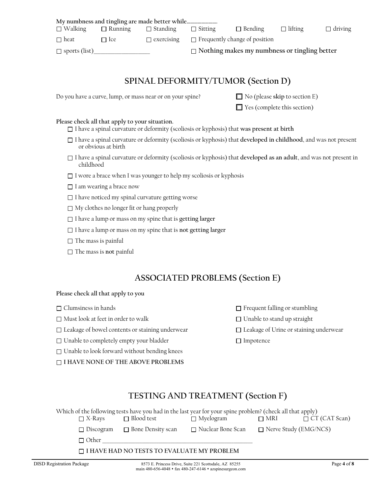| $\Box$ Walking       | $\Box$ Running | $\Box$ Standing | $\Box$ Sitting | $\Box$ Bending                                         | $\Box$ lifting                                      | $\Box$ driving |
|----------------------|----------------|-----------------|----------------|--------------------------------------------------------|-----------------------------------------------------|----------------|
| $\Box$ heat          | $\Box$ Ice     |                 |                | $\Box$ exercising $\Box$ Frequently change of position |                                                     |                |
| $\Box$ sports (list) |                |                 |                |                                                        | $\Box$ Nothing makes my numbness or tingling better |                |

## **SPINAL DEFORMITY/TUMOR (Section D)**

Do you have a curve, lump, or mass near or on your spine?  $\Box$  No (please skip to section E)

 $\Box$  Yes (complete this section)

#### **Please check all that apply to your situation.**

- I have a spinal curvature or deformity (scoliosis or kyphosis) that **was present at birth**
- I have a spinal curvature or deformity (scoliosis or kyphosis) that **developed in childhood**, and was not present or obvious at birth
- I have a spinal curvature or deformity (scoliosis or kyphosis) that **developed as an adult**, and was not present in childhood
- $\Box$  I wore a brace when I was younger to help my scoliosis or kyphosis
- $\Box$  I am wearing a brace now
- $\Box$  I have noticed my spinal curvature getting worse
- $\Box$  My clothes no longer fit or hang properly
- I have a lump or mass on my spine that is **getting larger**
- I have a lump or mass on my spine that is **not getting larger**
- $\Box$  The mass is painful
- □ The mass is **not** painful

## **ASSOCIATED PROBLEMS (Section E)**

#### **Please check all that apply to you**

- $\Box$  Must look at feet in order to walk  $\Box$  Unable to stand up straight
- □ Leakage of bowel contents or staining underwear □ Leakage of Urine or staining underwear
- $\Box$  Unable to completely empty your bladder  $\Box$  Impotence
- □ Unable to look forward without bending knees

**I HAVE NONE OF THE ABOVE PROBLEMS**

- □ Clumsiness in hands Frequent falling or stumbling
	-
	-
	-

# **TESTING AND TREATMENT (Section F)**

| Which of the following tests have you had in the last year for your spine problem? (check all that apply) |                     |                     |                              |                      |  |  |
|-----------------------------------------------------------------------------------------------------------|---------------------|---------------------|------------------------------|----------------------|--|--|
| $\Box$ X-Rays                                                                                             | $\Box$ Blood test   | $\Box$ Myelogram    | $\Box$ MRI                   | $\Box$ CT (CAT Scan) |  |  |
| $\Box$ Discogram                                                                                          | □ Bone Density scan | □ Nuclear Bone Scan | $\Box$ Nerve Study (EMG/NCS) |                      |  |  |
| $\Box$ Other                                                                                              |                     |                     |                              |                      |  |  |
| □ I HAVE HAD NO TESTS TO EVALUATE MY PROBLEM                                                              |                     |                     |                              |                      |  |  |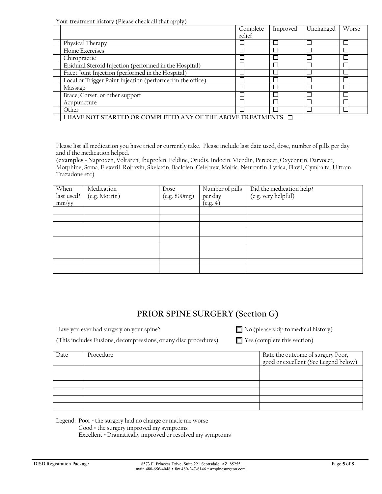Your treatment history (Please check all that apply)

|                                                                    | Complete | Improved | Unchanged | Worse |
|--------------------------------------------------------------------|----------|----------|-----------|-------|
|                                                                    | relief   |          |           |       |
| Physical Therapy                                                   |          |          |           |       |
| Home Exercises                                                     |          |          |           |       |
| Chiropractic                                                       |          |          |           |       |
| Epidural Steroid Injection (performed in the Hospital)             |          |          |           |       |
| Facet Joint Injection (performed in the Hospital)                  |          |          |           |       |
| Local or Trigger Point Injection (performed in the office)         |          |          |           |       |
| Massage                                                            |          |          |           |       |
| Brace, Corset, or other support                                    |          |          |           |       |
| Acupuncture                                                        |          |          |           |       |
| Other                                                              |          |          |           |       |
| I HAVE NOT STARTED OR COMPLETED ANY OF THE ABOVE TREATMENTS $\Box$ |          |          |           |       |

Please list all medication you have tried or currently take. Please include last date used, dose, number of pills per day and if the medication helped.

(**examples** = Naproxen, Voltaren, Ibuprofen, Feldine, Orudis, Indocin, Vicodin, Percocet, Oxycontin, Darvocet, Morphine, Soma, Flexeril, Robaxin, Skelaxin, Baclofen, Celebrex, Mobic, Neurontin, Lyrica, Elavil, Cymbalta, Ultram, Trazadone etc)

| When<br>last used?<br>mm/yy | Medication<br>(e.g. Motrin) | Dose<br>(e.g. 800mg) | Number of pills<br>per day<br>(e.g. 4) | Did the medication help?<br>(e.g. very helpful) |
|-----------------------------|-----------------------------|----------------------|----------------------------------------|-------------------------------------------------|
|                             |                             |                      |                                        |                                                 |
|                             |                             |                      |                                        |                                                 |
|                             |                             |                      |                                        |                                                 |
|                             |                             |                      |                                        |                                                 |
|                             |                             |                      |                                        |                                                 |
|                             |                             |                      |                                        |                                                 |
|                             |                             |                      |                                        |                                                 |
|                             |                             |                      |                                        |                                                 |
|                             |                             |                      |                                        |                                                 |

## **PRIOR SPINE SURGERY (Section G)**

Have you ever had surgery on your spine?  $\Box$  No (please skip to medical history)

(This includes Fusions, decompressions, or any disc procedures)  $\Box$  Yes (complete this section)

| Date | Procedure | Rate the outcome of surgery Poor,<br>good or excellent (See Legend below) |
|------|-----------|---------------------------------------------------------------------------|
|      |           |                                                                           |
|      |           |                                                                           |
|      |           |                                                                           |
|      |           |                                                                           |
|      |           |                                                                           |
|      |           |                                                                           |

Legend: Poor = the surgery had no change or made me worse Good = the surgery improved my symptoms Excellent = Dramatically improved or resolved my symptoms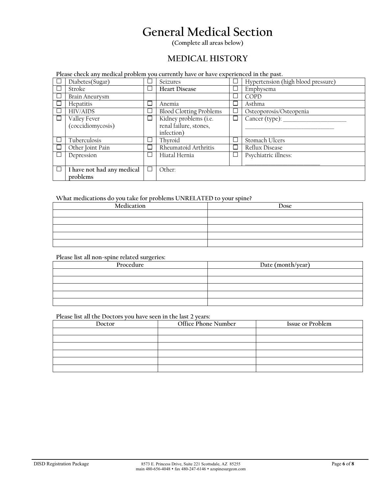# **General Medical Section**

**(Complete all areas below)**

#### **MEDICAL HISTORY**

**Please check any medical problem you currently have or have experienced in the past.** 

| Diabetes(Sugar)            |        | Seizures                       |        | Hypertension (high blood pressure) |
|----------------------------|--------|--------------------------------|--------|------------------------------------|
| Stroke                     | ∟      | <b>Heart Disease</b>           | $\Box$ | Emphysema                          |
| Brain Aneurysm             |        |                                | ப      | COPD                               |
| Hepatitis                  |        | Anemia                         | ப      | Asthma                             |
| <b>HIV/AIDS</b>            | └      | <b>Blood Clotting Problems</b> | $\Box$ | Osteoporosis/Osteopenia            |
| Valley Fever               | □      | Kidney problems (i.e.          | □      | Cancer (type):                     |
| (coccidiomycosis)          |        | renal failure, stones,         |        |                                    |
|                            |        | infection)                     |        |                                    |
| Tuberculosis               | └      | Thyroid                        | $\Box$ | Stomach Ulcers                     |
| Other Joint Pain           | ∟      | Rheumatoid Arthritis           | ⊔      | Reflux Disease                     |
| Depression                 | ட      | Hiatal Hernia                  | ப      | Psychiatric illness:               |
|                            |        |                                |        |                                    |
| I have not had any medical | $\Box$ | Other:                         |        |                                    |
| problems                   |        |                                |        |                                    |

#### **What medications do you take for problems UNRELATED to your spine?**

| $\ldots$ . The strategies are the section to the proposition of the state and all the option $\ldots$ |      |  |  |  |  |  |
|-------------------------------------------------------------------------------------------------------|------|--|--|--|--|--|
| Medication                                                                                            | Dose |  |  |  |  |  |
|                                                                                                       |      |  |  |  |  |  |
|                                                                                                       |      |  |  |  |  |  |
|                                                                                                       |      |  |  |  |  |  |
|                                                                                                       |      |  |  |  |  |  |
|                                                                                                       |      |  |  |  |  |  |

#### **Please list all non-spine related surgeries:**

| Procedure | Date (month/year) |
|-----------|-------------------|
|           |                   |
|           |                   |
|           |                   |
|           |                   |
|           |                   |

#### **Please list all the Doctors you have seen in the last 2 years:**

| Doctor | Office Phone Number | Issue or Problem |
|--------|---------------------|------------------|
|        |                     |                  |
|        |                     |                  |
|        |                     |                  |
|        |                     |                  |
|        |                     |                  |
|        |                     |                  |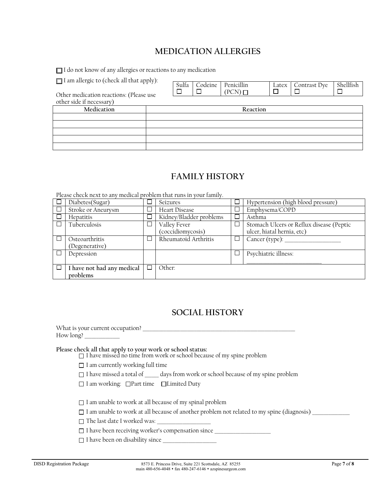# **MEDICATION ALLERGIES**

I do not know of any allergies or reactions to any medication

 $\Box$  I am allergic to (check all that apply):

| $\Box$ and when $\Xi$ is to (shown will show up pay).               | Sulfa | Codeine | Penicillin     | Latex  | Contrast Dye | Shellfish |
|---------------------------------------------------------------------|-------|---------|----------------|--------|--------------|-----------|
| Other medication reactions: (Please use<br>other side if necessary) |       |         | $(PCN)$ $\Box$ | $\Box$ |              |           |
|                                                                     |       |         |                |        |              |           |
| Medication                                                          |       |         | Reaction       |        |              |           |
|                                                                     |       |         |                |        |              |           |
|                                                                     |       |         |                |        |              |           |
|                                                                     |       |         |                |        |              |           |
|                                                                     |       |         |                |        |              |           |
|                                                                     |       |         |                |        |              |           |

# **FAMILY HISTORY**

Please check next to any medical problem that runs in your family.

| Diabetes(Sugar)            |              | Seizures                | Hypertension (high blood pressure)       |
|----------------------------|--------------|-------------------------|------------------------------------------|
| Stroke or Aneurysm         |              | <b>Heart Disease</b>    | Emphysema/COPD                           |
| Hepatitis                  |              | Kidney/Bladder problems | Asthma                                   |
| Tuberculosis               |              | Valley Fever            | Stomach Ulcers or Reflux disease (Peptic |
|                            |              | (coccidiomycosis)       | ulcer, hiatal hernia, etc)               |
| Osteoarthritis             |              | Rheumatoid Arthritis    | Cancer (type):                           |
| (Degenerative)             |              |                         |                                          |
| Depression                 |              |                         | Psychiatric illness:                     |
|                            |              |                         |                                          |
| I have not had any medical | $\mathbf{I}$ | Other:                  |                                          |
| problems                   |              |                         |                                          |

## **SOCIAL HISTORY**

| Please check all that apply to your work or school status:<br>$\Box$ I have missed no time from work or school because of my spine problem |
|--------------------------------------------------------------------------------------------------------------------------------------------|
| $\Box$ I am currently working full time                                                                                                    |
| □ I have missed a total of _____ days from work or school because of my spine problem                                                      |
| $\Box$ I am working: $\Box$ Part time $\Box$ Limited Duty                                                                                  |
| $\Box$ I am unable to work at all because of my spinal problem                                                                             |
| $\Box$ I am unable to work at all because of another problem not related to my spine (diagnosis)                                           |
|                                                                                                                                            |
| □ I have been receiving worker's compensation since                                                                                        |
| $\Box$ I have been on disability since                                                                                                     |
|                                                                                                                                            |